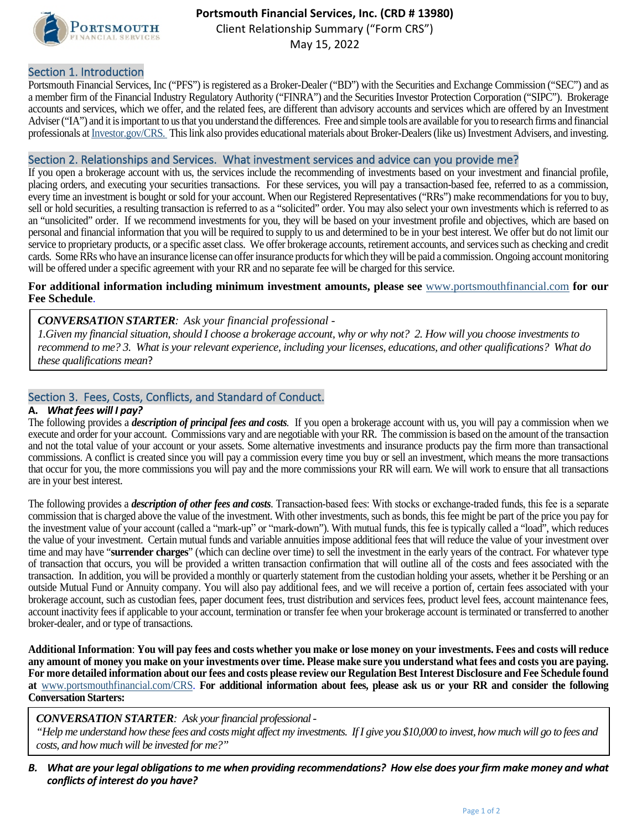

# **Portsmouth Financial Services, Inc. (CRD # 13980)**

Client Relationship Summary ("Form CRS")

May 15, 2022

### Section 1. Introduction

Portsmouth Financial Services, Inc ("PFS") is registered as a Broker-Dealer ("BD") with the Securities and Exchange Commission ("SEC") and as a member firm of the Financial Industry Regulatory Authority ("FINRA") and the Securities Investor Protection Corporation ("SIPC"). Brokerage accounts and services, which we offer, and the related fees, are different than advisory accounts and services which are offered by an Investment Adviser ("IA") and it isimportant to us that you understand the differences. Free and simple tools are available for you to research firms and financial professionals a[t Investor.gov/CRS.](https://www.investor.gov/home/welcome-investor-gov-crs) This link also provides educational materials about Broker-Dealers(like us) Investment Advisers, and investing.

### Section 2. Relationships and Services. What investment services and advice can you provide me?

If you open a brokerage account with us, the services include the recommending of investments based on your investment and financial profile, placing orders, and executing your securities transactions. For these services, you will pay a transaction-based fee, referred to as a commission, every time an investment is bought or sold for your account. When our Registered Representatives ("RRs") make recommendations for you to buy, sell or hold securities, a resulting transaction is referred to as a "solicited" order. You may also select your own investments which is referred to as an "unsolicited" order. If we recommend investments for you, they will be based on your investment profile and objectives, which are based on personal and financial information that you will be required to supply to us and determined to be in your best interest. We offer but do not limit our service to proprietary products, or a specific asset class. We offer brokerage accounts, retirement accounts, and services such as checking and credit cards. Some RRs who have an insurance license can offer insurance products for which they will be paid a commission. Ongoing account monitoring will be offered under a specific agreement with your RR and no separate fee will be charged for this service.

#### **For additional information including minimum investment amounts, please see** [www.portsmouthfinancial.com](https://www.portsmouthfinancial.com/clients/) **for our Fee Schedule**.

*CONVERSATION STARTER: Ask your financial professional -*

*1.Given my financial situation, should I choose a brokerage account, why or why not? 2. How will you choose investments to recommend to me? 3. What is your relevant experience, including your licenses, educations, and other qualifications? What do these qualifications mean*?

### Section 3. Fees, Costs, Conflicts, and Standard of Conduct.

### **A.** *What fees will I pay?*

The following provides a *description of principal fees and costs.* If you open a brokerage account with us, you will pay a commission when we execute and order for your account. Commissions vary and are negotiable with your RR. The commission is based on the amount of the transaction and not the total value of your account or your assets. Some alternative investments and insurance products pay the firm more than transactional commissions. A conflict is created since you will pay a commission every time you buy or sell an investment, which means the more transactions that occur for you, the more commissions you will pay and the more commissions your RR will earn. We will work to ensure that all transactions are in your best interest.

The following provides a *description of other fees and costs*. Transaction-based fees: With stocks or exchange-traded funds, this fee is a separate commission that is charged above the value of the investment. With other investments, such as bonds, this fee might be part of the price you pay for the investment value of your account (called a "mark‐up" or "mark-down"). With mutual funds, this fee is typically called a "load", which reduces the value of your investment. Certain mutual funds and variable annuities impose additional fees that will reduce the value of your investment over time and may have "**surrender charges**" (which can decline over time) to sell the investment in the early years of the contract. For whatever type of transaction that occurs, you will be provided a written transaction confirmation that will outline all of the costs and fees associated with the transaction. In addition, you will be provided a monthly or quarterly statement from the custodian holding your assets, whether it be Pershing or an outside Mutual Fund or Annuity company. You will also pay additional fees, and we will receive a portion of, certain fees associated with your brokerage account, such as custodian fees, paper document fees, trust distribution and services fees, product level fees, account maintenance fees, account inactivity fees if applicable to your account, termination or transfer fee when your brokerage account is terminated or transferred to another broker-dealer, and or type of transactions.

**Additional Information**: **You will pay fees and costs whether you make or lose money on your investments. Fees and costs will reduce any amount of money you make on your investments over time. Please make sure you understand what fees and costs you are paying. For more detailed information about our fees and costs please review our Regulation Best Interest Disclosure and Fee Schedule found at** [www.portsmouthfinancial.com/CRS.](https://www.portsmouthfinancial.com/clients/) **For additional information about fees, please ask us or your RR and consider the following Conversation Starters:**

*CONVERSATION STARTER: Ask your financial professional -*

*"Help me understand how these fees and costs might affect my investments. If I give you \$10,000 to invest, how much will go to fees and costs, and how much will be invested for me?"*

*B. What are your legal obligations to me when providing recommendations? How else does your firm make money and what conflicts of interest do you have?*